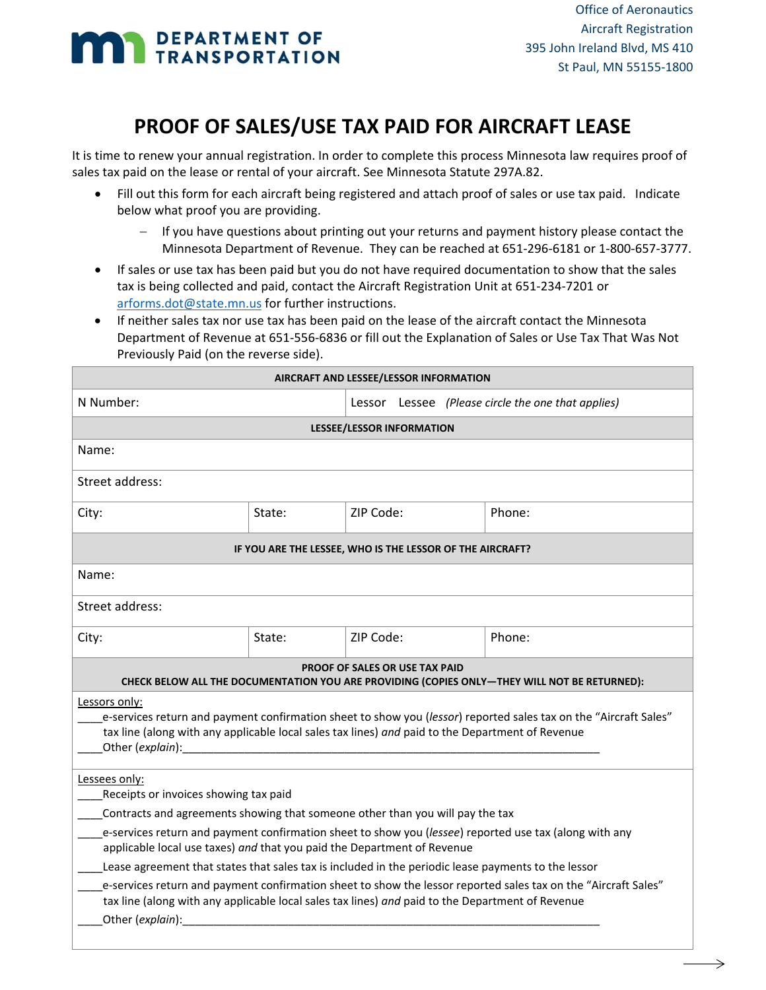# **MAN DEPARTMENT OF**

# **PROOF OF SALES/USE TAX PAID FOR AIRCRAFT LEASE**

It is time to renew your annual registration. In order to complete this process Minnesota law requires proof of sales tax paid on the lease or rental of your aircraft. See Minnesota Statute 297A.82.

- Fill out this form for each aircraft being registered and attach proof of sales or use tax paid. Indicate below what proof you are providing.
	- If you have questions about printing out your returns and payment history please contact the Minnesota Department of Revenue. They can be reached at 651‐296‐6181 or 1‐800‐657‐3777.
- If sales or use tax has been paid but you do not have required documentation to show that the sales tax is being collected and paid, contact the Aircraft Registration Unit at 651‐234‐7201 or arforms.dot@state.mn.us for further instructions.
- If neither sales tax nor use tax has been paid on the lease of the aircraft contact the Minnesota Department of Revenue at 651‐556‐6836 or fill out the Explanation of Sales or Use Tax That Was Not Previously Paid (on the reverse side).

| AIRCRAFT AND LESSEE/LESSOR INFORMATION                                                                                                                                                                                                                    |        |                                                    |        |  |
|-----------------------------------------------------------------------------------------------------------------------------------------------------------------------------------------------------------------------------------------------------------|--------|----------------------------------------------------|--------|--|
| N Number:                                                                                                                                                                                                                                                 |        | Lessor Lessee (Please circle the one that applies) |        |  |
| <b>LESSEE/LESSOR INFORMATION</b>                                                                                                                                                                                                                          |        |                                                    |        |  |
| Name:                                                                                                                                                                                                                                                     |        |                                                    |        |  |
| Street address:                                                                                                                                                                                                                                           |        |                                                    |        |  |
| City:                                                                                                                                                                                                                                                     | State: | ZIP Code:                                          | Phone: |  |
| IF YOU ARE THE LESSEE, WHO IS THE LESSOR OF THE AIRCRAFT?                                                                                                                                                                                                 |        |                                                    |        |  |
| Name:                                                                                                                                                                                                                                                     |        |                                                    |        |  |
| Street address:                                                                                                                                                                                                                                           |        |                                                    |        |  |
| City:                                                                                                                                                                                                                                                     | State: | ZIP Code:                                          | Phone: |  |
| <b>PROOF OF SALES OR USE TAX PAID</b><br>CHECK BELOW ALL THE DOCUMENTATION YOU ARE PROVIDING (COPIES ONLY-THEY WILL NOT BE RETURNED):                                                                                                                     |        |                                                    |        |  |
| Lessors only:<br>e-services return and payment confirmation sheet to show you (lessor) reported sales tax on the "Aircraft Sales"<br>tax line (along with any applicable local sales tax lines) and paid to the Department of Revenue<br>Other (explain): |        |                                                    |        |  |
| Lessees only:<br>Receipts or invoices showing tax paid<br>Contracts and agreements showing that someone other than you will pay the tax                                                                                                                   |        |                                                    |        |  |
| e-services return and payment confirmation sheet to show you (lessee) reported use tax (along with any<br>applicable local use taxes) and that you paid the Department of Revenue                                                                         |        |                                                    |        |  |
| Lease agreement that states that sales tax is included in the periodic lease payments to the lessor                                                                                                                                                       |        |                                                    |        |  |
| e-services return and payment confirmation sheet to show the lessor reported sales tax on the "Aircraft Sales"<br>tax line (along with any applicable local sales tax lines) and paid to the Department of Revenue<br>Other (explain):                    |        |                                                    |        |  |
|                                                                                                                                                                                                                                                           |        |                                                    |        |  |